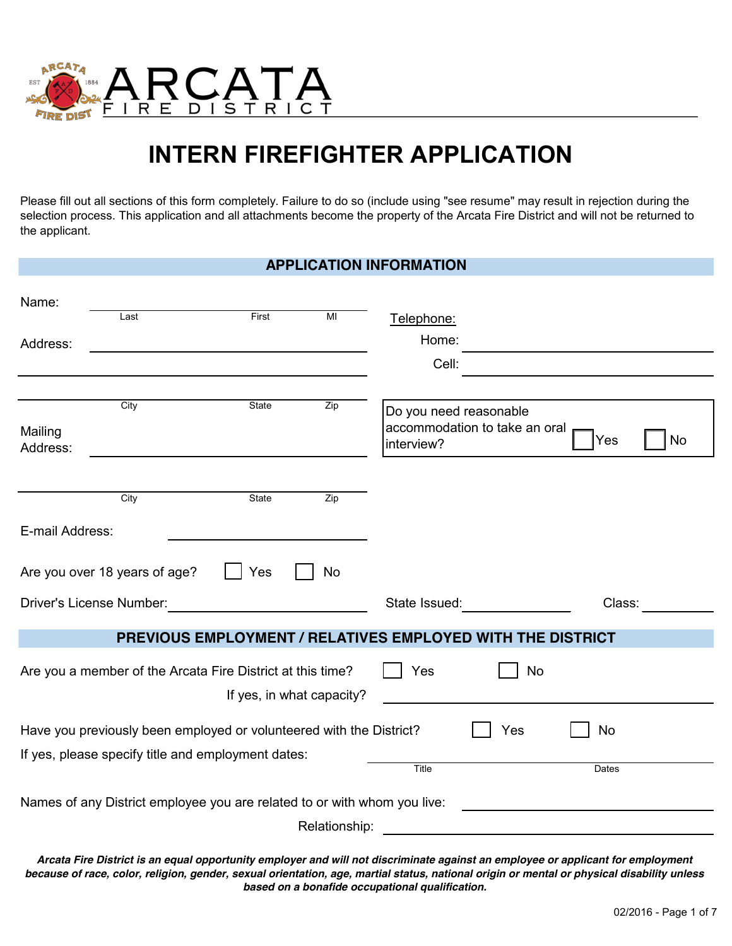

# **INTERN FIREFIGHTER APPLICATION**

Please fill out all sections of this form completely. Failure to do so (include using "see resume" may result in rejection during the selection process. This application and all attachments become the property of the Arcata Fire District and will not be returned to the applicant.

|                          |                                                                          |                                                            |               | <b>APPLICATION INFORMATION</b>       |                               |           |    |
|--------------------------|--------------------------------------------------------------------------|------------------------------------------------------------|---------------|--------------------------------------|-------------------------------|-----------|----|
| Name:                    |                                                                          |                                                            |               |                                      |                               |           |    |
|                          | Last                                                                     | First                                                      | MI            | Telephone:                           |                               |           |    |
| Address:                 |                                                                          |                                                            |               | Home:                                |                               |           |    |
|                          |                                                                          |                                                            |               | Cell:                                |                               |           |    |
|                          | City                                                                     | State                                                      | Zip           |                                      |                               |           |    |
| Mailing<br>Address:      |                                                                          |                                                            |               | Do you need reasonable<br>interview? | accommodation to take an oral | Yes       | No |
|                          |                                                                          |                                                            |               |                                      |                               |           |    |
|                          | City                                                                     | State                                                      | Zip           |                                      |                               |           |    |
| E-mail Address:          |                                                                          |                                                            |               |                                      |                               |           |    |
|                          | Are you over 18 years of age?                                            | Yes                                                        | <b>No</b>     |                                      |                               |           |    |
| Driver's License Number: |                                                                          |                                                            |               | State Issued:                        |                               | Class:    |    |
|                          |                                                                          | PREVIOUS EMPLOYMENT / RELATIVES EMPLOYED WITH THE DISTRICT |               |                                      |                               |           |    |
|                          | Are you a member of the Arcata Fire District at this time?               | If yes, in what capacity?                                  |               | Yes                                  | No                            |           |    |
|                          | Have you previously been employed or volunteered with the District?      |                                                            |               |                                      | Yes                           | <b>No</b> |    |
|                          | If yes, please specify title and employment dates:                       |                                                            |               | Title                                |                               | Dates     |    |
|                          |                                                                          |                                                            |               |                                      |                               |           |    |
|                          | Names of any District employee you are related to or with whom you live: |                                                            |               |                                      |                               |           |    |
|                          |                                                                          |                                                            | Relationship: |                                      |                               |           |    |

*Arcata Fire District is an equal opportunity employer and will not discriminate against an employee or applicant for employment because of race, color, religion, gender, sexual orientation, age, martial status, national origin or mental or physical disability unless based on a bonafide occupational qualification.*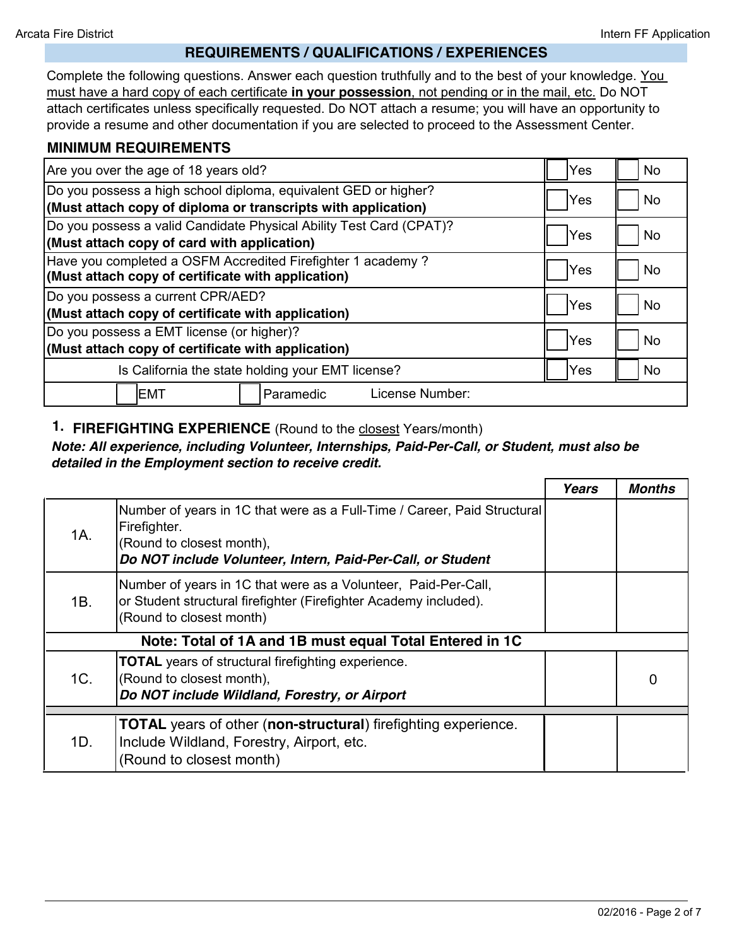#### **REQUIREMENTS / QUALIFICATIONS / EXPERIENCES**

Complete the following questions. Answer each question truthfully and to the best of your knowledge. You must have a hard copy of each certificate **in your possession**, not pending or in the mail, etc. Do NOT attach certificates unless specifically requested. Do NOT attach a resume; you will have an opportunity to provide a resume and other documentation if you are selected to proceed to the Assessment Center.

#### **MINIMUM REQUIREMENTS**

| Are you over the age of 18 years old?                               | Yes  | <b>No</b> |
|---------------------------------------------------------------------|------|-----------|
| Do you possess a high school diploma, equivalent GED or higher?     | Yes  | <b>No</b> |
| (Must attach copy of diploma or transcripts with application)       |      |           |
| Do you possess a valid Candidate Physical Ability Test Card (CPAT)? | Yes  | <b>No</b> |
| (Must attach copy of card with application)                         |      |           |
| Have you completed a OSFM Accredited Firefighter 1 academy?         |      |           |
| (Must attach copy of certificate with application)                  | Yes  | <b>No</b> |
| Do you possess a current CPR/AED?                                   | lYes | <b>No</b> |
| (Must attach copy of certificate with application)                  |      |           |
| Do you possess a EMT license (or higher)?                           | Yes  |           |
| (Must attach copy of certificate with application)                  |      | <b>No</b> |
| Is California the state holding your EMT license?                   | Yes  | <b>No</b> |
| License Number:<br>IEMT<br>Paramedic                                |      |           |

## **1. FIREFIGHTING EXPERIENCE** (Round to the closest Years/month)

#### *Note: All experience, including Volunteer, Intern***ships***, Paid-Per-Call, or Student, must also be detailed in the Employment section to receive credit.*

|     |                                                                                                                                                                                      | <b>Years</b> | <b>Months</b> |
|-----|--------------------------------------------------------------------------------------------------------------------------------------------------------------------------------------|--------------|---------------|
| 1A. | Number of years in 1C that were as a Full-Time / Career, Paid Structural<br>Firefighter.<br>(Round to closest month),<br>Do NOT include Volunteer, Intern, Paid-Per-Call, or Student |              |               |
| 1B. | Number of years in 1C that were as a Volunteer, Paid-Per-Call,<br>or Student structural firefighter (Firefighter Academy included).<br>(Round to closest month)                      |              |               |
|     | Note: Total of 1A and 1B must equal Total Entered in 1C                                                                                                                              |              |               |
| 1C. | <b>TOTAL</b> years of structural firefighting experience.<br>(Round to closest month),<br>Do NOT include Wildland, Forestry, or Airport                                              | 0            | $\Omega$      |
|     | <b>TOTAL</b> years of other (non-structural) firefighting experience.                                                                                                                |              |               |
| 1D. | Include Wildland, Forestry, Airport, etc.<br>(Round to closest month)                                                                                                                |              |               |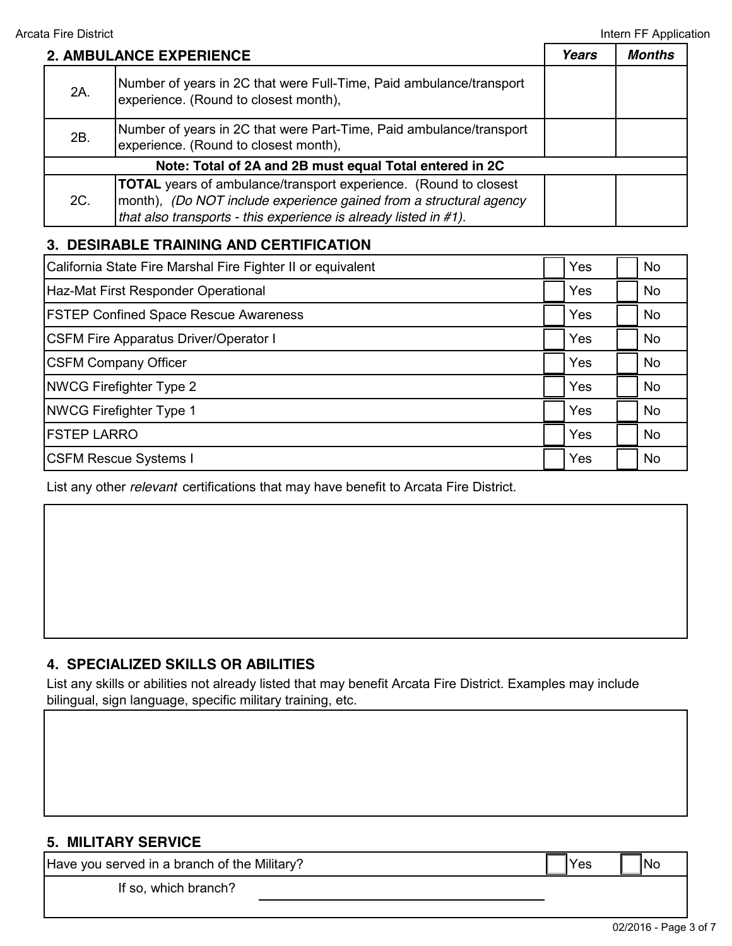|     | 2. AMBULANCE EXPERIENCE                                                                                                                                                                                           | Years | <b>Months</b> |
|-----|-------------------------------------------------------------------------------------------------------------------------------------------------------------------------------------------------------------------|-------|---------------|
| 2A. | Number of years in 2C that were Full-Time, Paid ambulance/transport<br>experience. (Round to closest month),                                                                                                      |       |               |
| 2B. | Number of years in 2C that were Part-Time, Paid ambulance/transport<br>experience. (Round to closest month),                                                                                                      |       |               |
|     | Note: Total of 2A and 2B must equal Total entered in 2C                                                                                                                                                           |       |               |
| 2C. | <b>TOTAL</b> years of ambulance/transport experience. (Round to closest<br>month), (Do NOT include experience gained from a structural agency<br>that also transports - this experience is already listed in #1). |       |               |

# **3. DESIRABLE TRAINING AND CERTIFICATION**

| California State Fire Marshal Fire Fighter II or equivalent | Yes | N <sub>o</sub> |
|-------------------------------------------------------------|-----|----------------|
| Haz-Mat First Responder Operational                         | Yes | <b>No</b>      |
| <b>FSTEP Confined Space Rescue Awareness</b>                | Yes | No             |
| <b>CSFM Fire Apparatus Driver/Operator I</b>                | Yes | <b>No</b>      |
| <b>CSFM Company Officer</b>                                 | Yes | <b>No</b>      |
| <b>NWCG Firefighter Type 2</b>                              | Yes | N <sub>o</sub> |
| <b>NWCG Firefighter Type 1</b>                              | Yes | <b>No</b>      |
| <b>FSTEP LARRO</b>                                          | Yes | <b>No</b>      |
| <b>CSFM Rescue Systems I</b>                                | Yes | <b>No</b>      |

List any other *relevant* certifications that may have benefit to Arcata Fire District.

# **4. SPECIALIZED SKILLS OR ABILITIES**

List any skills or abilities not already listed that may benefit Arcata Fire District. Examples may include bilingual, sign language, specific military training, etc.

## **5. MILITARY SERVICE**

Have you served in a branch of the Military?  $\blacksquare$  Yes  $\blacksquare$  Yes  $\blacksquare$  No

If so, which branch?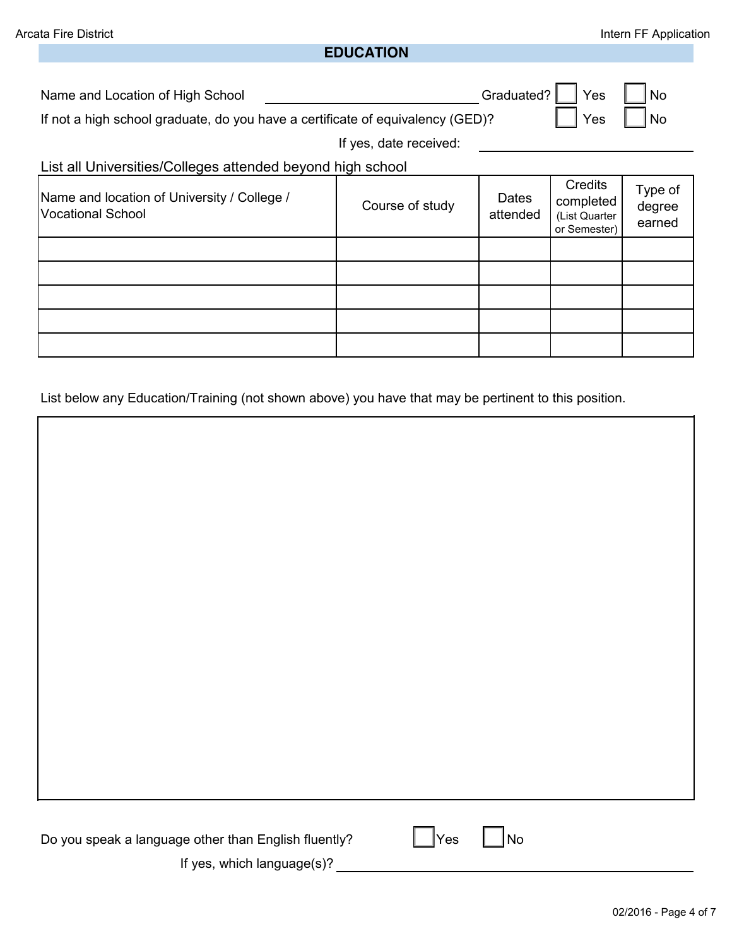#### **EDUCATION**

Name and Location of High School

If not a high school graduate, do you have a certificate of equivalency (GED)?

Graduated?  $\Box$  Yes  $\Box$  No Yes  $\vert \vert$  No

If yes, date received:

List all Universities/Colleges attended beyond high school:

| Name and location of University / College /<br>Vocational School | Course of study | Dates<br>attended | Credits<br>completed<br>(List Quarter<br>or Semester) | Type of<br>degree<br>earned |
|------------------------------------------------------------------|-----------------|-------------------|-------------------------------------------------------|-----------------------------|
|                                                                  |                 |                   |                                                       |                             |
|                                                                  |                 |                   |                                                       |                             |
|                                                                  |                 |                   |                                                       |                             |
|                                                                  |                 |                   |                                                       |                             |
|                                                                  |                 |                   |                                                       |                             |

List below any Education/Training (not shown above) you have that may be pertinent to this position.

| Do you speak a language other than English fluently? | $\Box$ Yes $\Box$ No |
|------------------------------------------------------|----------------------|
| If yes, which language(s)?                           |                      |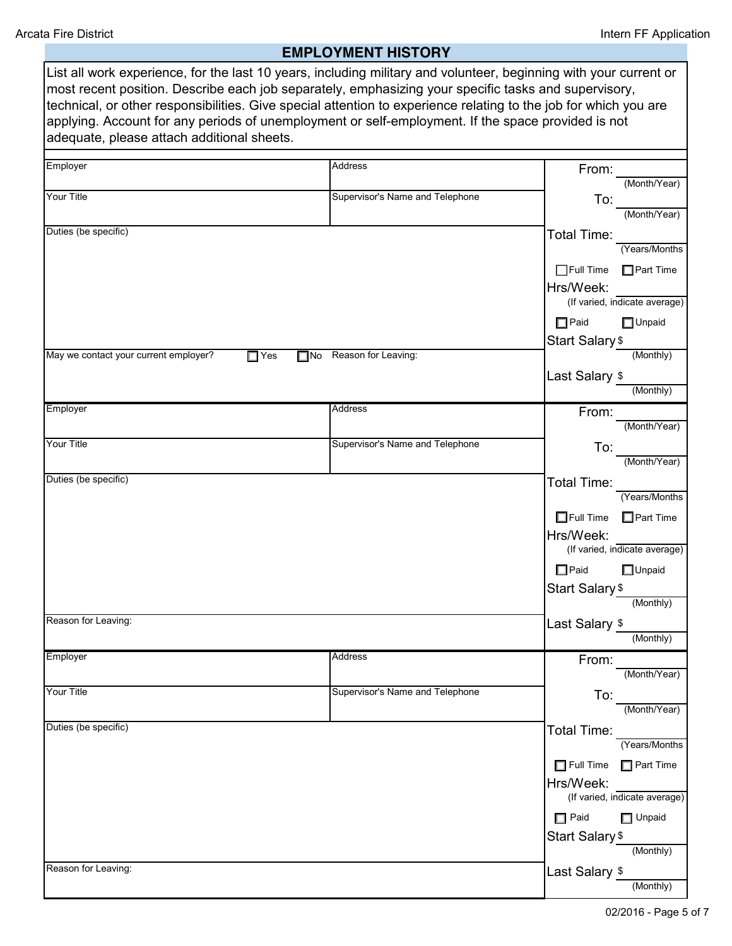# **EMPLOYMENT HISTORY**

| List all work experience, for the last 10 years, including military and volunteer, beginning with your current or<br>most recent position. Describe each job separately, emphasizing your specific tasks and supervisory,<br>technical, or other responsibilities. Give special attention to experience relating to the job for which you are<br>applying. Account for any periods of unemployment or self-employment. If the space provided is not<br>adequate, please attach additional sheets.<br>Employer<br>Address<br>From:<br>(Month/Year)<br><b>Your Title</b><br>Supervisor's Name and Telephone<br>To:<br>(Month/Year)<br>Total Time:<br>(Years/Months<br>$\Box$ Full Time<br>$\Box$ Part Time<br>Hrs/Week:<br>(If varied, indicate average)<br>$\Box$ Paid<br>$\Box$ Unpaid<br>Start Salary \$<br>(Monthly)<br>May we contact your current employer?<br>$\Box$ Yes<br>No Reason for Leaving:<br>Last Salary \$<br>(Monthly)<br>Employer<br>Address<br>From:<br>(Month/Year)<br>Your Title<br>Supervisor's Name and Telephone<br>To:<br>(Month/Year)<br>Duties (be specific)<br>Total Time:<br>(Years/Months<br>$\Box$ Full Time<br>Part Time<br>Hrs/Week:<br>(If varied, indicate average)<br>$\Box$ Paid<br>$\Box$ Unpaid<br>Start Salary <sub>\$</sub><br>(Monthly)<br>Last Salary \$<br>(Monthly)<br>Address<br>Employer<br>From:<br>(Month/Year)<br>Your Title<br>Supervisor's Name and Telephone<br>To:<br>(Month/Year)<br>Total Time:<br>(Years/Months<br>$\Box$ Full Time<br>$\Box$ Part Time<br>Hrs/Week:<br>(If varied, indicate average)<br>$\Box$ Paid<br>$\Box$ Unpaid<br><b>Start Salary \$</b><br>(Monthly)<br>Reason for Leaving:<br>Last Salary \$<br>(Monthly) |                      |  |
|--------------------------------------------------------------------------------------------------------------------------------------------------------------------------------------------------------------------------------------------------------------------------------------------------------------------------------------------------------------------------------------------------------------------------------------------------------------------------------------------------------------------------------------------------------------------------------------------------------------------------------------------------------------------------------------------------------------------------------------------------------------------------------------------------------------------------------------------------------------------------------------------------------------------------------------------------------------------------------------------------------------------------------------------------------------------------------------------------------------------------------------------------------------------------------------------------------------------------------------------------------------------------------------------------------------------------------------------------------------------------------------------------------------------------------------------------------------------------------------------------------------------------------------------------------------------------------------------------------------------------------------------------------------------------------------------|----------------------|--|
|                                                                                                                                                                                                                                                                                                                                                                                                                                                                                                                                                                                                                                                                                                                                                                                                                                                                                                                                                                                                                                                                                                                                                                                                                                                                                                                                                                                                                                                                                                                                                                                                                                                                                            |                      |  |
|                                                                                                                                                                                                                                                                                                                                                                                                                                                                                                                                                                                                                                                                                                                                                                                                                                                                                                                                                                                                                                                                                                                                                                                                                                                                                                                                                                                                                                                                                                                                                                                                                                                                                            |                      |  |
|                                                                                                                                                                                                                                                                                                                                                                                                                                                                                                                                                                                                                                                                                                                                                                                                                                                                                                                                                                                                                                                                                                                                                                                                                                                                                                                                                                                                                                                                                                                                                                                                                                                                                            |                      |  |
|                                                                                                                                                                                                                                                                                                                                                                                                                                                                                                                                                                                                                                                                                                                                                                                                                                                                                                                                                                                                                                                                                                                                                                                                                                                                                                                                                                                                                                                                                                                                                                                                                                                                                            | Duties (be specific) |  |
|                                                                                                                                                                                                                                                                                                                                                                                                                                                                                                                                                                                                                                                                                                                                                                                                                                                                                                                                                                                                                                                                                                                                                                                                                                                                                                                                                                                                                                                                                                                                                                                                                                                                                            |                      |  |
|                                                                                                                                                                                                                                                                                                                                                                                                                                                                                                                                                                                                                                                                                                                                                                                                                                                                                                                                                                                                                                                                                                                                                                                                                                                                                                                                                                                                                                                                                                                                                                                                                                                                                            |                      |  |
|                                                                                                                                                                                                                                                                                                                                                                                                                                                                                                                                                                                                                                                                                                                                                                                                                                                                                                                                                                                                                                                                                                                                                                                                                                                                                                                                                                                                                                                                                                                                                                                                                                                                                            |                      |  |
|                                                                                                                                                                                                                                                                                                                                                                                                                                                                                                                                                                                                                                                                                                                                                                                                                                                                                                                                                                                                                                                                                                                                                                                                                                                                                                                                                                                                                                                                                                                                                                                                                                                                                            |                      |  |
|                                                                                                                                                                                                                                                                                                                                                                                                                                                                                                                                                                                                                                                                                                                                                                                                                                                                                                                                                                                                                                                                                                                                                                                                                                                                                                                                                                                                                                                                                                                                                                                                                                                                                            |                      |  |
|                                                                                                                                                                                                                                                                                                                                                                                                                                                                                                                                                                                                                                                                                                                                                                                                                                                                                                                                                                                                                                                                                                                                                                                                                                                                                                                                                                                                                                                                                                                                                                                                                                                                                            |                      |  |
|                                                                                                                                                                                                                                                                                                                                                                                                                                                                                                                                                                                                                                                                                                                                                                                                                                                                                                                                                                                                                                                                                                                                                                                                                                                                                                                                                                                                                                                                                                                                                                                                                                                                                            |                      |  |
|                                                                                                                                                                                                                                                                                                                                                                                                                                                                                                                                                                                                                                                                                                                                                                                                                                                                                                                                                                                                                                                                                                                                                                                                                                                                                                                                                                                                                                                                                                                                                                                                                                                                                            |                      |  |
|                                                                                                                                                                                                                                                                                                                                                                                                                                                                                                                                                                                                                                                                                                                                                                                                                                                                                                                                                                                                                                                                                                                                                                                                                                                                                                                                                                                                                                                                                                                                                                                                                                                                                            |                      |  |
|                                                                                                                                                                                                                                                                                                                                                                                                                                                                                                                                                                                                                                                                                                                                                                                                                                                                                                                                                                                                                                                                                                                                                                                                                                                                                                                                                                                                                                                                                                                                                                                                                                                                                            |                      |  |
|                                                                                                                                                                                                                                                                                                                                                                                                                                                                                                                                                                                                                                                                                                                                                                                                                                                                                                                                                                                                                                                                                                                                                                                                                                                                                                                                                                                                                                                                                                                                                                                                                                                                                            |                      |  |
|                                                                                                                                                                                                                                                                                                                                                                                                                                                                                                                                                                                                                                                                                                                                                                                                                                                                                                                                                                                                                                                                                                                                                                                                                                                                                                                                                                                                                                                                                                                                                                                                                                                                                            |                      |  |
|                                                                                                                                                                                                                                                                                                                                                                                                                                                                                                                                                                                                                                                                                                                                                                                                                                                                                                                                                                                                                                                                                                                                                                                                                                                                                                                                                                                                                                                                                                                                                                                                                                                                                            |                      |  |
|                                                                                                                                                                                                                                                                                                                                                                                                                                                                                                                                                                                                                                                                                                                                                                                                                                                                                                                                                                                                                                                                                                                                                                                                                                                                                                                                                                                                                                                                                                                                                                                                                                                                                            |                      |  |
|                                                                                                                                                                                                                                                                                                                                                                                                                                                                                                                                                                                                                                                                                                                                                                                                                                                                                                                                                                                                                                                                                                                                                                                                                                                                                                                                                                                                                                                                                                                                                                                                                                                                                            |                      |  |
|                                                                                                                                                                                                                                                                                                                                                                                                                                                                                                                                                                                                                                                                                                                                                                                                                                                                                                                                                                                                                                                                                                                                                                                                                                                                                                                                                                                                                                                                                                                                                                                                                                                                                            |                      |  |
|                                                                                                                                                                                                                                                                                                                                                                                                                                                                                                                                                                                                                                                                                                                                                                                                                                                                                                                                                                                                                                                                                                                                                                                                                                                                                                                                                                                                                                                                                                                                                                                                                                                                                            |                      |  |
|                                                                                                                                                                                                                                                                                                                                                                                                                                                                                                                                                                                                                                                                                                                                                                                                                                                                                                                                                                                                                                                                                                                                                                                                                                                                                                                                                                                                                                                                                                                                                                                                                                                                                            | Reason for Leaving:  |  |
|                                                                                                                                                                                                                                                                                                                                                                                                                                                                                                                                                                                                                                                                                                                                                                                                                                                                                                                                                                                                                                                                                                                                                                                                                                                                                                                                                                                                                                                                                                                                                                                                                                                                                            |                      |  |
|                                                                                                                                                                                                                                                                                                                                                                                                                                                                                                                                                                                                                                                                                                                                                                                                                                                                                                                                                                                                                                                                                                                                                                                                                                                                                                                                                                                                                                                                                                                                                                                                                                                                                            |                      |  |
|                                                                                                                                                                                                                                                                                                                                                                                                                                                                                                                                                                                                                                                                                                                                                                                                                                                                                                                                                                                                                                                                                                                                                                                                                                                                                                                                                                                                                                                                                                                                                                                                                                                                                            |                      |  |
|                                                                                                                                                                                                                                                                                                                                                                                                                                                                                                                                                                                                                                                                                                                                                                                                                                                                                                                                                                                                                                                                                                                                                                                                                                                                                                                                                                                                                                                                                                                                                                                                                                                                                            |                      |  |
|                                                                                                                                                                                                                                                                                                                                                                                                                                                                                                                                                                                                                                                                                                                                                                                                                                                                                                                                                                                                                                                                                                                                                                                                                                                                                                                                                                                                                                                                                                                                                                                                                                                                                            | Duties (be specific) |  |
|                                                                                                                                                                                                                                                                                                                                                                                                                                                                                                                                                                                                                                                                                                                                                                                                                                                                                                                                                                                                                                                                                                                                                                                                                                                                                                                                                                                                                                                                                                                                                                                                                                                                                            |                      |  |
|                                                                                                                                                                                                                                                                                                                                                                                                                                                                                                                                                                                                                                                                                                                                                                                                                                                                                                                                                                                                                                                                                                                                                                                                                                                                                                                                                                                                                                                                                                                                                                                                                                                                                            |                      |  |
|                                                                                                                                                                                                                                                                                                                                                                                                                                                                                                                                                                                                                                                                                                                                                                                                                                                                                                                                                                                                                                                                                                                                                                                                                                                                                                                                                                                                                                                                                                                                                                                                                                                                                            |                      |  |
|                                                                                                                                                                                                                                                                                                                                                                                                                                                                                                                                                                                                                                                                                                                                                                                                                                                                                                                                                                                                                                                                                                                                                                                                                                                                                                                                                                                                                                                                                                                                                                                                                                                                                            |                      |  |
|                                                                                                                                                                                                                                                                                                                                                                                                                                                                                                                                                                                                                                                                                                                                                                                                                                                                                                                                                                                                                                                                                                                                                                                                                                                                                                                                                                                                                                                                                                                                                                                                                                                                                            |                      |  |
|                                                                                                                                                                                                                                                                                                                                                                                                                                                                                                                                                                                                                                                                                                                                                                                                                                                                                                                                                                                                                                                                                                                                                                                                                                                                                                                                                                                                                                                                                                                                                                                                                                                                                            |                      |  |
|                                                                                                                                                                                                                                                                                                                                                                                                                                                                                                                                                                                                                                                                                                                                                                                                                                                                                                                                                                                                                                                                                                                                                                                                                                                                                                                                                                                                                                                                                                                                                                                                                                                                                            |                      |  |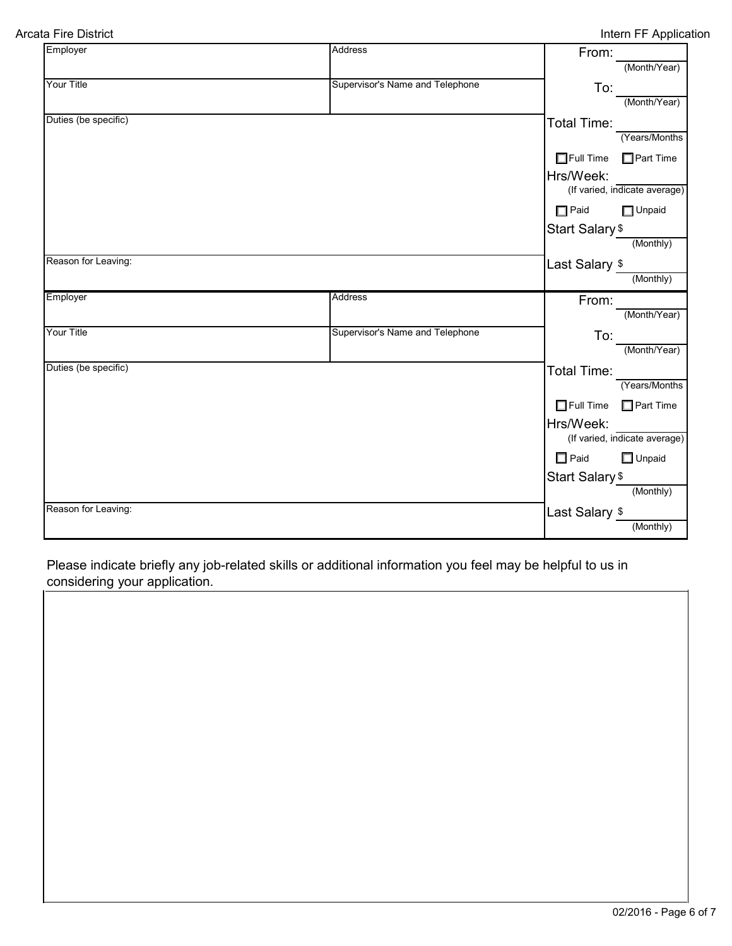| Employer             | Address                         | From:                      |                               |
|----------------------|---------------------------------|----------------------------|-------------------------------|
|                      |                                 |                            | (Month/Year)                  |
| Your Title           | Supervisor's Name and Telephone |                            | $\frac{1}{2}$                 |
|                      |                                 |                            | (Month/Year)                  |
| Duties (be specific) |                                 | Total Time:                |                               |
|                      |                                 |                            | (Years/Months                 |
|                      |                                 | Full Time Part Time        |                               |
|                      |                                 | Hrs/Week:                  |                               |
|                      |                                 |                            | (If varied, indicate average) |
|                      |                                 | $\Box$ Paid                | $\Box$ Unpaid                 |
|                      |                                 | Start Salary \$            |                               |
|                      |                                 |                            | (Monthly)                     |
| Reason for Leaving:  |                                 | Last Salary \$             |                               |
|                      |                                 |                            | (Monthly)                     |
| Employer             | <b>Address</b>                  | From:                      |                               |
|                      |                                 |                            |                               |
|                      |                                 |                            | (Month/Year)                  |
| Your Title           | Supervisor's Name and Telephone |                            |                               |
|                      |                                 | To:                        | (Month/Year)                  |
| Duties (be specific) |                                 | Total Time:                |                               |
|                      |                                 |                            | (Years/Months                 |
|                      |                                 | $\Box$ Full Time           | $\Box$ Part Time              |
|                      |                                 | Hrs/Week:                  |                               |
|                      |                                 |                            | (If varied, indicate average) |
|                      |                                 | $\Box$ Paid                | $\Box$ Unpaid                 |
|                      |                                 |                            |                               |
|                      |                                 | Start Salary <sub>\$</sub> | (Monthly)                     |
| Reason for Leaving:  |                                 | Last Salary \$             |                               |

Please indicate briefly any job-related skills or additional information you feel may be helpful to us in considering your application.